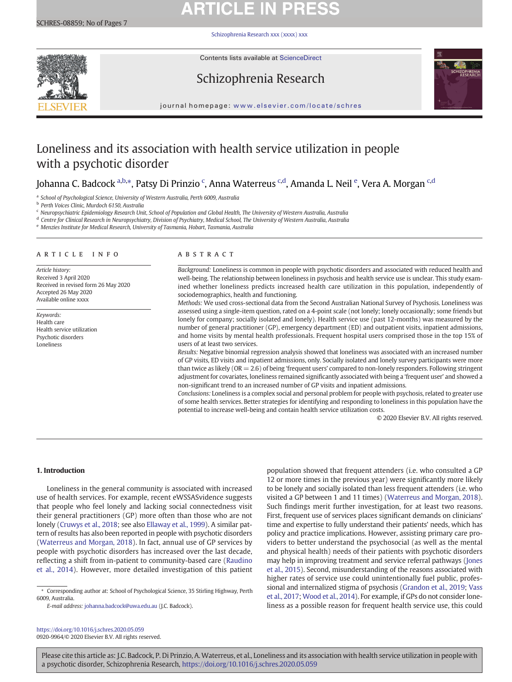# **ARTICLE IN PRESS**

[Schizophrenia Research xxx \(xxxx\) xxx](https://doi.org/10.1016/j.schres.2020.05.059)



Contents lists available at ScienceDirect

# Schizophrenia Research



journal homepage: <www.elsevier.com/locate/schres>

# Loneliness and its association with health service utilization in people with a psychotic disorder

# Johanna C. Badcock <sup>a,b,</sup>\*, Patsy Di Prinzio <sup>c</sup>, Anna Waterreus <sup>c,d</sup>, Amanda L. Neil <sup>e</sup>, Vera A. Morgan <sup>c,d</sup>

<sup>a</sup> School of Psychological Science, University of Western Australia, Perth 6009, Australia

<sup>b</sup> Perth Voices Clinic, Murdoch 6150, Australia

<sup>c</sup> Neuropsychiatric Epidemiology Research Unit, School of Population and Global Health, The University of Western Australia, Australia

<sup>d</sup> Centre for Clinical Research in Neuropsychiatry, Division of Psychiatry, Medical School, The University of Western Australia, Australia

<sup>e</sup> Menzies Institute for Medical Research, University of Tasmania, Hobart, Tasmania, Australia

### article info abstract

Article history: Received 3 April 2020 Received in revised form 26 May 2020 Accepted 26 May 2020 Available online xxxx

Keywords: Health care Health service utilization Psychotic disorders Loneliness

Background: Loneliness is common in people with psychotic disorders and associated with reduced health and well-being. The relationship between loneliness in psychosis and health service use is unclear. This study examined whether loneliness predicts increased health care utilization in this population, independently of sociodemographics, health and functioning.

Methods: We used cross-sectional data from the Second Australian National Survey of Psychosis. Loneliness was assessed using a single-item question, rated on a 4-point scale (not lonely; lonely occasionally; some friends but lonely for company; socially isolated and lonely). Health service use (past 12-months) was measured by the number of general practitioner (GP), emergency department (ED) and outpatient visits, inpatient admissions, and home visits by mental health professionals. Frequent hospital users comprised those in the top 15% of users of at least two services.

Results: Negative binomial regression analysis showed that loneliness was associated with an increased number of GP visits, ED visits and inpatient admissions, only. Socially isolated and lonely survey participants were more than twice as likely ( $OR = 2.6$ ) of being 'frequent users' compared to non-lonely responders. Following stringent adjustment for covariates, loneliness remained significantly associated with being a 'frequent user' and showed a non-significant trend to an increased number of GP visits and inpatient admissions.

Conclusions: Loneliness is a complex social and personal problem for people with psychosis, related to greater use of some health services. Better strategies for identifying and responding to loneliness in this population have the potential to increase well-being and contain health service utilization costs.

© 2020 Elsevier B.V. All rights reserved.

# 1. Introduction

Loneliness in the general community is associated with increased use of health services. For example, recent eWSSASvidence suggests that people who feel lonely and lacking social connectedness visit their general practitioners (GP) more often than those who are not lonely ([Cruwys et al., 2018;](#page-6-0) see also [Ellaway et al., 1999](#page-6-0)). A similar pattern of results has also been reported in people with psychotic disorders [\(Waterreus and Morgan, 2018](#page-6-0)). In fact, annual use of GP services by people with psychotic disorders has increased over the last decade, reflecting a shift from in-patient to community-based care [\(Raudino](#page-6-0) [et al., 2014](#page-6-0)). However, more detailed investigation of this patient

E-mail address: [johanna.badcock@uwa.edu.au](mailto:johanna.badcock@uwa.edu.au) (J.C. Badcock).

<https://doi.org/10.1016/j.schres.2020.05.059> 0920-9964/© 2020 Elsevier B.V. All rights reserved. population showed that frequent attenders (i.e. who consulted a GP 12 or more times in the previous year) were significantly more likely to be lonely and socially isolated than less frequent attenders (i.e. who visited a GP between 1 and 11 times) ([Waterreus and Morgan, 2018](#page-6-0)). Such findings merit further investigation, for at least two reasons. First, frequent use of services places significant demands on clinicians' time and expertise to fully understand their patients' needs, which has policy and practice implications. However, assisting primary care providers to better understand the psychosocial (as well as the mental and physical health) needs of their patients with psychotic disorders may help in improving treatment and service referral pathways ([Jones](#page-6-0) [et al., 2015\)](#page-6-0). Second, misunderstanding of the reasons associated with higher rates of service use could unintentionally fuel public, professional and internalized stigma of psychosis ([Grandon et al., 2019;](#page-6-0) [Vass](#page-6-0) [et al., 2017;](#page-6-0) [Wood et al., 2014\)](#page-6-0). For example, if GPs do not consider loneliness as a possible reason for frequent health service use, this could

<sup>⁎</sup> Corresponding author at: School of Psychological Science, 35 Stirling Highway, Perth 6009, Australia.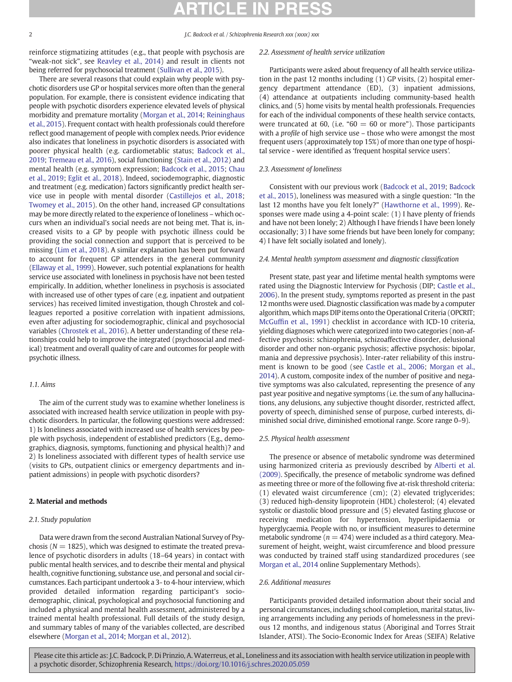reinforce stigmatizing attitudes (e.g., that people with psychosis are "weak-not sick", see [Reavley et al., 2014](#page-6-0)) and result in clients not being referred for psychosocial treatment [\(Sullivan et al., 2015](#page-6-0)).

There are several reasons that could explain why people with psychotic disorders use GP or hospital services more often than the general population. For example, there is consistent evidence indicating that people with psychotic disorders experience elevated levels of physical morbidity and premature mortality [\(Morgan et al., 2014;](#page-6-0) [Reininghaus](#page-6-0) [et al., 2015\)](#page-6-0). Frequent contact with health professionals could therefore reflect good management of people with complex needs. Prior evidence also indicates that loneliness in psychotic disorders is associated with poorer physical health (e.g. cardiometablic status; [Badcock et al.,](#page-6-0) [2019;](#page-6-0) [Tremeau et al., 2016\)](#page-6-0), social functioning [\(Stain et al., 2012\)](#page-6-0) and mental health (e.g. symptom expression; [Badcock et al., 2015](#page-6-0); [Chau](#page-6-0) [et al., 2019](#page-6-0); [Eglit et al., 2018\)](#page-6-0). Indeed, sociodemographic, diagnostic and treatment (e.g. medication) factors significantly predict health service use in people with mental disorder [\(Castillejos et al., 2018](#page-6-0); [Twomey et al., 2015\)](#page-6-0). On the other hand, increased GP consultations may be more directly related to the experience of loneliness – which occurs when an individual's social needs are not being met. That is, increased visits to a GP by people with psychotic illness could be providing the social connection and support that is perceived to be missing [\(Lim et al., 2018\)](#page-6-0). A similar explanation has been put forward to account for frequent GP attenders in the general community [\(Ellaway et al., 1999\)](#page-6-0). However, such potential explanations for health service use associated with loneliness in psychosis have not been tested empirically. In addition, whether loneliness in psychosis is associated with increased use of other types of care (e.g. inpatient and outpatient services) has received limited investigation, though Chrostek and colleagues reported a positive correlation with inpatient admissions, even after adjusting for sociodemographic, clinical and psychosocial variables [\(Chrostek et al., 2016](#page-6-0)). A better understanding of these relationships could help to improve the integrated (psychosocial and medical) treatment and overall quality of care and outcomes for people with psychotic illness.

# 1.1. Aims

The aim of the current study was to examine whether loneliness is associated with increased health service utilization in people with psychotic disorders. In particular, the following questions were addressed: 1) Is loneliness associated with increased use of health services by people with psychosis, independent of established predictors (E.g., demographics, diagnosis, symptoms, functioning and physical health)? and 2) Is loneliness associated with different types of health service use (visits to GPs, outpatient clinics or emergency departments and inpatient admissions) in people with psychotic disorders?

# 2. Material and methods

# 2.1. Study population

Data were drawn from the second Australian National Survey of Psychosis ( $N = 1825$ ), which was designed to estimate the treated prevalence of psychotic disorders in adults (18–64 years) in contact with public mental health services, and to describe their mental and physical health, cognitive functioning, substance use, and personal and social circumstances. Each participant undertook a 3- to 4-hour interview, which provided detailed information regarding participant's sociodemographic, clinical, psychological and psychosocial functioning and included a physical and mental health assessment, administered by a trained mental health professional. Full details of the study design, and summary tables of many of the variables collected, are described elsewhere ([Morgan et al., 2014](#page-6-0); [Morgan et al., 2012](#page-6-0)).

# 2.2. Assessment of health service utilization

Participants were asked about frequency of all health service utilization in the past 12 months including (1) GP visits, (2) hospital emergency department attendance (ED), (3) inpatient admissions, (4) attendance at outpatients including community-based health clinics, and (5) home visits by mental health professionals. Frequencies for each of the individual components of these health service contacts, were truncated at 60, (i.e. " $60 = 60$  or more"). Those participants with a profile of high service use – those who were amongst the most frequent users (approximately top 15%) of more than one type of hospital service - were identified as 'frequent hospital service users'.

# 2.3. Assessment of loneliness

Consistent with our previous work [\(Badcock et al., 2019;](#page-6-0) [Badcock](#page-6-0) [et al., 2015\)](#page-6-0), loneliness was measured with a single question: "In the last 12 months have you felt lonely?" [\(Hawthorne et al., 1999](#page-6-0)). Responses were made using a 4-point scale: (1) I have plenty of friends and have not been lonely; 2) Although I have friends I have been lonely occasionally; 3) I have some friends but have been lonely for company; 4) I have felt socially isolated and lonely).

# 2.4. Mental health symptom assessment and diagnostic classification

Present state, past year and lifetime mental health symptoms were rated using the Diagnostic Interview for Psychosis (DIP; [Castle et al.,](#page-6-0) [2006\)](#page-6-0). In the present study, symptoms reported as present in the past 12 months were used. Diagnostic classification was made by a computer algorithm, which maps DIP items onto the Operational Criteria (OPCRIT; McGuffi[n et al., 1991](#page-6-0)) checklist in accordance with ICD-10 criteria, yielding diagnoses which were categorized into two categories (non-affective psychosis: schizophrenia, schizoaffective disorder, delusional disorder and other non-organic psychosis; affective psychosis: bipolar, mania and depressive psychosis). Inter-rater reliability of this instrument is known to be good (see [Castle et al., 2006;](#page-6-0) [Morgan et al.,](#page-6-0) [2014\)](#page-6-0). A custom, composite index of the number of positive and negative symptoms was also calculated, representing the presence of any past year positive and negative symptoms (i.e. the sum of any hallucinations, any delusions, any subjective thought disorder, restricted affect, poverty of speech, diminished sense of purpose, curbed interests, diminished social drive, diminished emotional range. Score range 0–9).

# 2.5. Physical health assessment

The presence or absence of metabolic syndrome was determined using harmonized criteria as previously described by [Alberti et al.](#page-5-0) [\(2009\).](#page-5-0) Specifically, the presence of metabolic syndrome was defined as meeting three or more of the following five at-risk threshold criteria: (1) elevated waist circumference (cm); (2) elevated triglycerides; (3) reduced high-density lipoprotein (HDL) cholesterol; (4) elevated systolic or diastolic blood pressure and (5) elevated fasting glucose or receiving medication for hypertension, hyperlipidaemia or hyperglycaemia. People with no, or insufficient measures to determine metabolic syndrome ( $n = 474$ ) were included as a third category. Measurement of height, weight, waist circumference and blood pressure was conducted by trained staff using standardized procedures (see [Morgan et al., 2014](#page-6-0) online Supplementary Methods).

# 2.6. Additional measures

Participants provided detailed information about their social and personal circumstances, including school completion, marital status, living arrangements including any periods of homelessness in the previous 12 months, and indigenous status (Aboriginal and Torres Strait Islander, ATSI). The Socio-Economic Index for Areas (SEIFA) Relative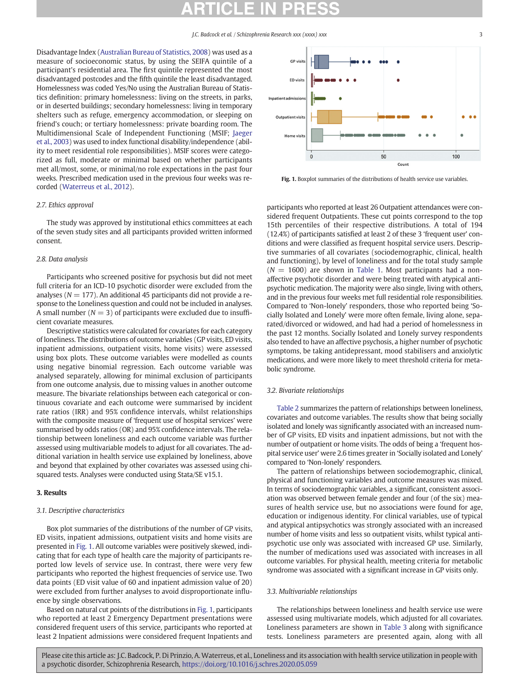Disadvantage Index ([Australian Bureau of Statistics, 2008\)](#page-6-0) was used as a measure of socioeconomic status, by using the SEIFA quintile of a participant's residential area. The first quintile represented the most disadvantaged postcodes and the fifth quintile the least disadvantaged. Homelessness was coded Yes/No using the Australian Bureau of Statistics definition: primary homelessness: living on the streets, in parks, or in deserted buildings; secondary homelessness: living in temporary shelters such as refuge, emergency accommodation, or sleeping on friend's couch; or tertiary homelessness: private boarding room. The Multidimensional Scale of Independent Functioning (MSIF; [Jaeger](#page-6-0) [et al., 2003](#page-6-0)) was used to index functional disability/independence (ability to meet residential role responsibilities). MSIF scores were categorized as full, moderate or minimal based on whether participants met all/most, some, or minimal/no role expectations in the past four weeks. Prescribed medication used in the previous four weeks was recorded ([Waterreus et al., 2012\)](#page-6-0).

# 2.7. Ethics approval

The study was approved by institutional ethics committees at each of the seven study sites and all participants provided written informed consent.

# 2.8. Data analysis

Participants who screened positive for psychosis but did not meet full criteria for an ICD-10 psychotic disorder were excluded from the analyses ( $N = 177$ ). An additional 45 participants did not provide a response to the Loneliness question and could not be included in analyses. A small number ( $N = 3$ ) of participants were excluded due to insufficient covariate measures.

Descriptive statistics were calculated for covariates for each category of loneliness. The distributions of outcome variables (GP visits, ED visits, inpatient admissions, outpatient visits, home visits) were assessed using box plots. These outcome variables were modelled as counts using negative binomial regression. Each outcome variable was analysed separately, allowing for minimal exclusion of participants from one outcome analysis, due to missing values in another outcome measure. The bivariate relationships between each categorical or continuous covariate and each outcome were summarised by incident rate ratios (IRR) and 95% confidence intervals, whilst relationships with the composite measure of 'frequent use of hospital services' were summarised by odds ratios (OR) and 95% confidence intervals. The relationship between loneliness and each outcome variable was further assessed using multivariable models to adjust for all covariates. The additional variation in health service use explained by loneliness, above and beyond that explained by other covariates was assessed using chisquared tests. Analyses were conducted using Stata/SE v15.1.

# 3. Results

# 3.1. Descriptive characteristics

Box plot summaries of the distributions of the number of GP visits, ED visits, inpatient admissions, outpatient visits and home visits are presented in Fig. 1. All outcome variables were positively skewed, indicating that for each type of health care the majority of participants reported low levels of service use. In contrast, there were very few participants who reported the highest frequencies of service use. Two data points (ED visit value of 60 and inpatient admission value of 20) were excluded from further analyses to avoid disproportionate influence by single observations.

Based on natural cut points of the distributions in Fig. 1, participants who reported at least 2 Emergency Department presentations were considered frequent users of this service, participants who reported at least 2 Inpatient admissions were considered frequent Inpatients and



Fig. 1. Boxplot summaries of the distributions of health service use variables.

participants who reported at least 26 Outpatient attendances were considered frequent Outpatients. These cut points correspond to the top 15th percentiles of their respective distributions. A total of 194 (12.4%) of participants satisfied at least 2 of these 3 'frequent user' conditions and were classified as frequent hospital service users. Descriptive summaries of all covariates (sociodemographic, clinical, health and functioning), by level of loneliness and for the total study sample  $(N = 1600)$  are shown in [Table 1](#page-3-0). Most participants had a nonaffective psychotic disorder and were being treated with atypical antipsychotic medication. The majority were also single, living with others, and in the previous four weeks met full residential role responsibilities. Compared to 'Non-lonely' responders, those who reported being 'Socially Isolated and Lonely' were more often female, living alone, separated/divorced or widowed, and had had a period of homelessness in the past 12 months. Socially Isolated and Lonely survey respondents also tended to have an affective psychosis, a higher number of psychotic symptoms, be taking antidepressant, mood stabilisers and anxiolytic medications, and were more likely to meet threshold criteria for metabolic syndrome.

## 3.2. Bivariate relationships

[Table 2](#page-4-0) summarizes the pattern of relationships between loneliness, covariates and outcome variables. The results show that being socially isolated and lonely was significantly associated with an increased number of GP visits, ED visits and inpatient admissions, but not with the number of outpatient or home visits. The odds of being a 'frequent hospital service user' were 2.6 times greater in 'Socially isolated and Lonely' compared to 'Non-lonely' responders.

The pattern of relationships between sociodemographic, clinical, physical and functioning variables and outcome measures was mixed. In terms of sociodemographic variables, a significant, consistent association was observed between female gender and four (of the six) measures of health service use, but no associations were found for age, education or indigenous identity. For clinical variables, use of typical and atypical antipsychotics was strongly associated with an increased number of home visits and less so outpatient visits, whilst typical antipsychotic use only was associated with increased GP use. Similarly, the number of medications used was associated with increases in all outcome variables. For physical health, meeting criteria for metabolic syndrome was associated with a significant increase in GP visits only.

### 3.3. Multivariable relationships

The relationships between loneliness and health service use were assessed using multivariate models, which adjusted for all covariates. Loneliness parameters are shown in [Table 3](#page-5-0) along with significance tests. Loneliness parameters are presented again, along with all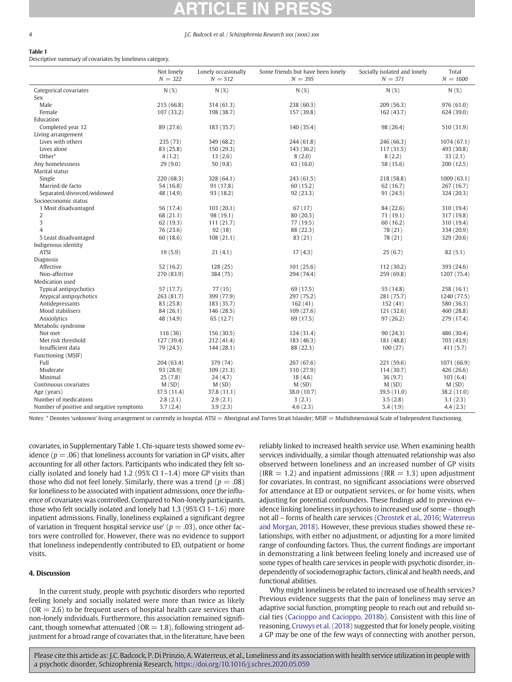# <span id="page-3-0"></span>Table 1

Descriptive summary of covariates by loneliness category.

|                                          | Not lonely<br>$N = 322$ | Lonely occasionally<br>$N = 512$ | Some friends but have been lonely<br>$N = 395$ | Socially isolated and lonely<br>$N = 371$ | Total<br>$N = 1600$ |
|------------------------------------------|-------------------------|----------------------------------|------------------------------------------------|-------------------------------------------|---------------------|
| Categorical covariates                   | N(%)                    | N(%)                             | N(%)                                           | N(%)                                      | N(%)                |
| Sex                                      |                         |                                  |                                                |                                           |                     |
| Male                                     | 215(66.8)               | 314(61.3)                        | 238 (60.3)                                     | 209(56.3)                                 | 976 (61.0)          |
| Female                                   | 107 (33.2)              | 198 (38.7)                       | 157 (39.8)                                     | 162(43.7)                                 | 624 (39.0)          |
| Education                                |                         |                                  |                                                |                                           |                     |
| Completed year 12                        | 89 (27.6)               | 183 (35.7)                       | 140 (35.4)                                     | 98 (26.4)                                 | 510 (31.9)          |
| Living arrangement                       |                         |                                  |                                                |                                           |                     |
| Lives with others                        | 235 (73)                | 349 (68.2)                       | 244 (61.8)                                     | 246 (66.3)                                | 1074 (67.1)         |
| Lives alone                              | 83 (25.8)               | 150(29.3)                        | 143 (36.2)                                     | 117(31.5)                                 | 493 (30.8)          |
| Other*                                   | 4(1.2)                  | 13(2.6)                          | 8(2.0)                                         | 8(2.2)                                    | 33(2.1)             |
| Any homelessness                         | 29(9.0)                 | 50(9.8)                          | 63 (16.0)                                      | 58 (15.6)                                 | 200(12.5)           |
| Marital status                           |                         |                                  |                                                |                                           |                     |
| Single                                   | 220 (68.3)              | 328 (64.1)                       | 243 (61.5)                                     | 218 (58.8)                                | 1009(63.1)          |
| Married/de facto                         | 54 (16.8)               | 91 (17.8)                        | 60 (15.2)                                      | 62 (16.7)                                 | 267 (16.7)          |
| Separated/divorced/widowed               | 48 (14.9)               | 93 (18.2)                        | 92 (23.3)                                      | 91(24.5)                                  | 324 (20.3)          |
| Socioeconomic status                     |                         |                                  |                                                |                                           |                     |
| 1 Most disadvantaged                     | 56 (17.4)               | 103(20.1)                        | 67(17)                                         | 84 (22.6)                                 | 310 (19.4)          |
| 2                                        | 68 (21.1)               | 98 (19.1)                        | 80(20.3)                                       | 71(19.1)                                  | 317 (19.8)          |
| 3                                        | 62 (19.3)               | 111(21.7)                        | 77 (19.5)                                      | 60 (16.2)                                 | 310 (19.4)          |
| $\overline{\mathcal{A}}$                 | 76 (23.6)               | 92(18)                           | 88 (22.3)                                      | 78 (21)                                   | 334 (20.9)          |
| 5 Least disadvantaged                    | 60(18.6)                | 108(21.1)                        | 83 (21)                                        | 78 (21)                                   | 329 (20.6)          |
| Indigenous identity                      |                         |                                  |                                                |                                           |                     |
| <b>ATSI</b>                              | 19(5.9)                 | 21(4.1)                          | 17(4.3)                                        | 25(6.7)                                   | 82(5.1)             |
| Diagnosis                                |                         |                                  |                                                |                                           |                     |
| Affective                                | 52(16.2)                | 128(25)                          | 101(25.6)                                      | 112(30.2)                                 | 393 (24.6)          |
| Non-affective                            | 270 (83.9)              | 384 (75)                         | 294 (74.4)                                     | 259 (69.8)                                | 1207 (75.4)         |
| Medication used                          |                         |                                  |                                                |                                           |                     |
| Typical antipsychotics                   | 57 (17.7)               | 77(15)                           | 69 (17.5)                                      | 55 (14.8)                                 | 258 (16.1)          |
| Atypical antipsychotics                  | 263 (81.7)              | 399 (77.9)                       | 297 (75.2)                                     | 281 (75.7)                                | 1240 (77.5)         |
| Antidepressants                          | 83 (25.8)               | 183 (35.7)                       | 162(41)                                        | 152(41)                                   | 580 (36.3)          |
| Mood stabilisers                         | 84 (26.1)               | 146 (28.5)                       | 109(27.6)                                      | 121 (32.6)                                | 460 (28.8)          |
| Anxiolytics                              | 48 (14.9)               | 65 (12.7)                        | 69 (17.5)                                      | 97(26.2)                                  | 279 (17.4)          |
| Metabolic syndrome                       |                         |                                  |                                                |                                           |                     |
| Not met                                  | 116 (36)                | 156 (30.5)                       | 124 (31.4)                                     | 90(24.3)                                  | 486 (30.4)          |
| Met risk threshold                       | 127 (39.4)              | 212 (41.4)                       | 183 (46.3)                                     | 181 (48.8)                                | 703 (43.9)          |
| Insufficient data                        | 79 (24.5)               | 144 (28.1)                       | 88 (22.3)                                      | 100(27)                                   | 411 (5.7)           |
| Functioning (MSIF)                       |                         |                                  |                                                |                                           |                     |
| Full                                     | 204 (63.4)              | 379 (74)                         | 267 (67.6)                                     | 221 (59.6)                                | 1071 (66.9)         |
| Moderate                                 | 93 (28.9)               | 109(21.3)                        | 110(27.9)                                      | 114 (30.7)                                | 426 (26.6)          |
| Minimal                                  | 25(7.8)                 | 24(4.7)                          | 18(4.6)                                        | 36(9.7)                                   | 103(6.4)            |
| Continuous covariates                    | M(SD)                   | M(SD)                            | M(SD)                                          | M(SD)                                     | M(SD)               |
| Age (years)                              | 37.5 (11.4)             | 37.8 (11.1)                      | 38.0 (10.7)                                    | 39.5 (11.0)                               | 38.2 (11.0)         |
| Number of medications                    | 2.8(2.1)                | 2.9(2.1)                         | 3(2.1)                                         | 3.5(2.8)                                  | 3.1(2.3)            |
| Number of positive and negative symptoms | 3.7(2.4)                | 3.9(2.3)                         | 4.6(2.3)                                       | 5.4(1.9)                                  | 4.4(2.3)            |

Notes: \* Denotes 'unknown' living arrangement or currently in hospital. ATSI = Aboriginal and Torres Strait Islander; MSIF = Multidimensional Scale of Independent Functioning.

covariates, in Supplementary Table 1. Chi-square tests showed some evidence ( $p = .06$ ) that loneliness accounts for variation in GP visits, after accounting for all other factors. Participants who indicated they felt socially isolated and lonely had 1.2 (95% CI 1–1.4) more GP visits than those who did not feel lonely. Similarly, there was a trend ( $p = .08$ ) for loneliness to be associated with inpatient admissions, once the influence of covariates was controlled. Compared to Non-lonely participants, those who felt socially isolated and lonely had 1.3 (95% CI 1–1.6) more inpatient admissions. Finally, loneliness explained a significant degree of variation in 'frequent hospital service use' ( $p = .03$ ), once other factors were controlled for. However, there was no evidence to support that loneliness independently contributed to ED, outpatient or home visits.

# 4. Discussion

In the current study, people with psychotic disorders who reported feeling lonely and socially isolated were more than twice as likely  $(OR = 2.6)$  to be frequent users of hospital health care services than non-lonely individuals. Furthermore, this association remained significant, though somewhat attenuated ( $OR = 1.8$ ), following stringent adjustment for a broad range of covariates that, in the literature, have been reliably linked to increased health service use. When examining health services individually, a similar though attenuated relationship was also observed between loneliness and an increased number of GP visits  $\text{(IRR} = 1.2)$  and inpatient admissions (IRR = 1.3) upon adjustment for covariates. In contrast, no significant associations were observed for attendance at ED or outpatient services, or for home visits, when adjusting for potential confounders. These findings add to previous evidence linking loneliness in psychosis to increased use of some – though not all – forms of health care services [\(Chrostek et al., 2016;](#page-6-0) [Waterreus](#page-6-0) [and Morgan, 2018\)](#page-6-0). However, these previous studies showed these relationships, with either no adjustment, or adjusting for a more limited range of confounding factors. Thus, the current findings are important in demonstrating a link between feeling lonely and increased use of some types of health care services in people with psychotic disorder, independently of sociodemographic factors, clinical and health needs, and functional abilities.

Why might loneliness be related to increased use of health services? Previous evidence suggests that the pain of loneliness may serve an adaptive social function, prompting people to reach out and rebuild social ties [\(Cacioppo and Cacioppo, 2018b\)](#page-6-0). Consistent with this line of reasoning, [Cruwys et al. \(2018\)](#page-6-0) suggested that for lonely people, visiting a GP may be one of the few ways of connecting with another person,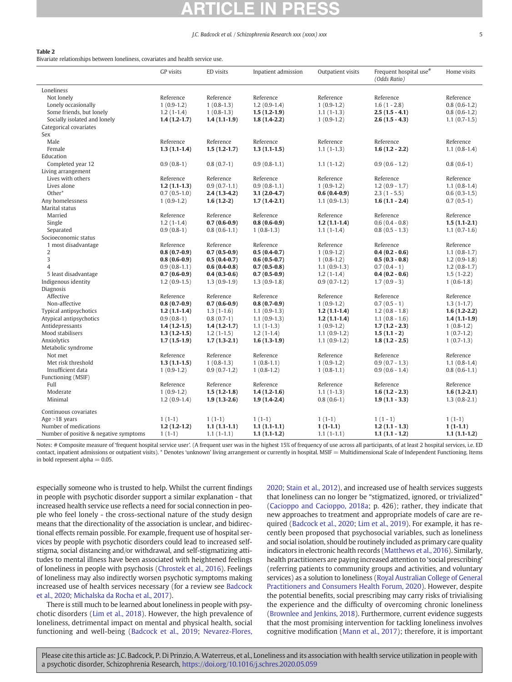# <span id="page-4-0"></span>Table 2

Bivariate relationships between loneliness, covariates and health service use.

|                                        | <b>GP</b> visits | ED visits      | Inpatient admission | Outpatient visits | Frequent hospital use <sup>#</sup><br>(Odds Ratio) | Home visits    |
|----------------------------------------|------------------|----------------|---------------------|-------------------|----------------------------------------------------|----------------|
| Loneliness                             |                  |                |                     |                   |                                                    |                |
| Not lonely                             | Reference        | Reference      | Reference           | Reference         | Reference                                          | Reference      |
| Lonely occasionally                    | $1(0.9-1.2)$     | $1(0.8-1.3)$   | $1.2(0.9-1.4)$      | $1(0.9-1.2)$      | $1.6(1 - 2.8)$                                     | $0.8(0.6-1.2)$ |
| Some friends, but lonely               | $1.2(1-1.4)$     | $1(0.8-1.3)$   | $1.5(1.2-1.9)$      | $1.1(1-1.3)$      | $2.5(1.5 - 4.1)$                                   | $0.8(0.6-1.2)$ |
| Socially isolated and lonely           | $1.4(1.2-1.7)$   | $1.4(1.1-1.9)$ | $1.8(1.4-2.2)$      | $1(0.9-1.2)$      | $2.6(1.5 - 4.3)$                                   | $1.1(0.7-1.5)$ |
| Categorical covariates                 |                  |                |                     |                   |                                                    |                |
| Sex                                    |                  |                |                     |                   |                                                    |                |
| Male                                   | Reference        | Reference      | Reference           | Reference         | Reference                                          | Reference      |
| Female                                 | $1.3(1.1-1.4)$   | $1.5(1.2-1.7)$ | $1.3(1.1-1.5)$      | $1.1(1-1.3)$      | $1.6(1.2 - 2.2)$                                   | $1.1(0.8-1.4)$ |
| Education                              |                  |                |                     |                   |                                                    |                |
| Completed year 12                      | $0.9(0.8-1)$     | $0.8(0.7-1)$   | $0.9(0.8-1.1)$      | $1.1(1-1.2)$      | $0.9(0.6 - 1.2)$                                   | $0.8(0.6-1)$   |
| Living arrangement                     |                  |                |                     |                   |                                                    |                |
| Lives with others                      | Reference        | Reference      | Reference           | Reference         | Reference                                          | Reference      |
| Lives alone                            | $1.2(1.1-1.3)$   | $0.9(0.7-1.1)$ | $0.9(0.8-1.1)$      | $1(0.9-1.2)$      | $1.2(0.9 - 1.7)$                                   | $1.1(0.8-1.4)$ |
| Other*                                 | $0.7(0.5-1.0)$   | $2.4(1.3-4.2)$ | $3.1(2.0-4.7)$      | $0.6(0.4-0.9)$    | $2.3(1 - 5.5)$                                     | $0.6(0.3-1.5)$ |
| Any homelessness                       | $1(0.9-1.2)$     | $1.6(1.2-2)$   | $1.7(1.4-2.1)$      | $1.1(0.9-1.3)$    | $1.6(1.1 - 2.4)$                                   | $0.7(0.5-1)$   |
| Marital status                         |                  |                |                     |                   |                                                    |                |
| Married                                | Reference        | Reference      | Reference           | Reference         | Reference                                          | Reference      |
| Single                                 | $1.2(1-1.4)$     | $0.7(0.6-0.9)$ | $0.8(0.6-0.9)$      | $1.2(1.1-1.4)$    | $0.6(0.4 - 0.8)$                                   | $1.5(1.1-2.1)$ |
| Separated                              | $0.9(0.8-1)$     | $0.8(0.6-1.1)$ | $1(0.8-1.3)$        | $1.1(1-1.4)$      | $0.8(0.5 - 1.3)$                                   | $1.1(0.7-1.6)$ |
| Socioeconomic status                   |                  |                |                     |                   |                                                    |                |
| 1 most disadvantage                    | Reference        | Reference      | Reference           | Reference         | Reference                                          | Reference      |
| 2                                      | $0.8(0.7-0.9)$   | $0.7(0.5-0.9)$ | $0.5(0.4-0.7)$      | $1(0.9-1.2)$      | $0.4(0.2 - 0.6)$                                   | $1.1(0.8-1.7)$ |
| 3                                      | $0.8(0.6-0.9)$   | $0.5(0.4-0.7)$ | $0.6(0.5-0.7)$      | $1(0.8-1.2)$      | $0.5(0.3 - 0.8)$                                   | $1.2(0.9-1.8)$ |
| 4                                      | $0.9(0.8-1.1)$   | $0.6(0.4-0.8)$ | $0.7(0.5-0.8)$      | $1.1(0.9-1.3)$    | $0.7(0.4 - 1)$                                     | $1.2(0.8-1.7)$ |
| 5 least disadvantage                   | $0.7(0.6-0.9)$   | $0.4(0.3-0.6)$ | $0.7(0.5-0.9)$      | $1.2(1-1.4)$      | $0.4(0.2 - 0.6)$                                   | $1.5(1-2.2)$   |
| Indigenous identity                    | $1.2(0.9-1.5)$   | $1.3(0.9-1.9)$ | $1.3(0.9-1.8)$      | $0.9(0.7-1.2)$    | $1.7(0.9-3)$                                       | $1(0.6-1.8)$   |
| Diagnosis                              |                  |                |                     |                   |                                                    |                |
| Affective                              | Reference        | Reference      | Reference           | Reference         | Reference                                          | Reference      |
| Non-affective                          | $0.8(0.7-0.9)$   | $0.7(0.6-0.9)$ | $0.8(0.7-0.9)$      | $1(0.9-1.2)$      | $0.7(0.5 - 1)$                                     | $1.3(1-1.7)$   |
| <b>Typical antipsychotics</b>          | $1.2(1.1-1.4)$   | $1.3(1-1.6)$   | $1.1(0.9-1.3)$      | $1.2(1.1-1.4)$    | $1.2(0.8 - 1.8)$                                   | $1.6(1.2-2.2)$ |
| Atypical antipsychotics                | $0.9(0.8-1)$     | $0.8(0.7-1)$   | $1.1(0.9-1.3)$      | $1.2(1.1-1.4)$    | $1.1(0.8 - 1.6)$                                   | $1.4(1.1-1.9)$ |
| Antidepressants                        | $1.4(1.2-1.5)$   | $1.4(1.2-1.7)$ | $1.1(1-1.3)$        | $1(0.9-1.2)$      | $1.7(1.2 - 2.3)$                                   | $1(0.8-1.2)$   |
| Mood stabilisers                       | $1.3(1.2-1.5)$   | $1.2(1-1.5)$   | $1.2(1-1.4)$        | $1.1(0.9-1.2)$    | $1.5(1.1-2)$                                       | $1(0.7-1.2)$   |
| Anxiolytics                            | $1.7(1.5-1.9)$   | $1.7(1.3-2.1)$ | $1.6(1.3-1.9)$      | $1.1(0.9-1.2)$    | $1.8(1.2 - 2.5)$                                   | $1(0.7-1.3)$   |
| Metabolic syndrome                     |                  |                |                     |                   |                                                    |                |
| Not met                                | Reference        | Reference      | Reference           | Reference         | Reference                                          | Reference      |
| Met risk threshold                     | $1.3(1.1-1.5)$   | $1(0.8-1.3)$   | $1(0.8-1.1)$        | $1(0.9-1.2)$      | $0.9(0.7 - 1.3)$                                   | $1.1(0.8-1.4)$ |
| Insufficient data                      | $1(0.9-1.2)$     | $0.9(0.7-1.2)$ | $1(0.8-1.2)$        | $1(0.8-1.1)$      | $0.9(0.6 - 1.4)$                                   | $0.8(0.6-1.1)$ |
| Functioning (MSIF)                     |                  |                |                     |                   |                                                    |                |
| Full                                   | Reference        | Reference      | Reference           | Reference         | Reference                                          | Reference      |
| Moderate                               | $1(0.9-1.2)$     | $1.5(1.2-1.8)$ | $1.4(1.2-1.6)$      | $1.1(1-1.3)$      | $1.6(1.2 - 2.3)$                                   | $1.6(1.2-2.1)$ |
| Minimal                                | $1.2(0.9-1.4)$   | $1.9(1.3-2.6)$ | $1.9(1.4-2.4)$      | $0.8(0.6-1)$      | $1.9(1.1 - 3.3)$                                   | $1.3(0.8-2.1)$ |
| Continuous covariates                  |                  |                |                     |                   |                                                    |                |
| Age $>18$ years                        | $1(1-1)$         | $1(1-1)$       | $1(1-1)$            | $1(1-1)$          | $1(1-1)$                                           | $1(1-1)$       |
| Number of medications                  | $1.2(1.2-1.2)$   | $1.1(1.1-1.1)$ | $1.1(1.1-1.1)$      | $1(1-1.1)$        | $1.2(1.1 - 1.3)$                                   | $1(1-1.1)$     |
| Number of positive & negative symptoms | $1(1-1)$         | $1.1(1-1.1)$   | $1.1(1.1-1.2)$      | $1.1(1-1.1)$      | $1.1(1.1 - 1.2)$                                   | $1.1(1.1-1.2)$ |
|                                        |                  |                |                     |                   |                                                    |                |

Notes: # Composite measure of 'frequent hospital service user'. (A frequent user was in the highest 15% of frequency of use across all participants, of at least 2 hospital services, i.e. ED contact, inpatient admissions or outpatient visits). \* Denotes 'unknown' living arrangement or currently in hospital. MSIF = Multidimensional Scale of Independent Functioning. Items in bold represent alpha  $= 0.05$ .

especially someone who is trusted to help. Whilst the current findings in people with psychotic disorder support a similar explanation - that increased health service use reflects a need for social connection in people who feel lonely - the cross-sectional nature of the study design means that the directionality of the association is unclear, and bidirectional effects remain possible. For example, frequent use of hospital services by people with psychotic disorders could lead to increased selfstigma, social distancing and/or withdrawal, and self-stigmatizing attitudes to mental illness have been associated with heightened feelings of loneliness in people with psychosis [\(Chrostek et al., 2016](#page-6-0)). Feelings of loneliness may also indirectly worsen psychotic symptoms making increased use of health services necessary (for a review see [Badcock](#page-6-0) [et al., 2020](#page-6-0); [Michalska da Rocha et al., 2017\)](#page-6-0).

There is still much to be learned about loneliness in people with psychotic disorders ([Lim et al., 2018\)](#page-6-0). However, the high prevalence of loneliness, detrimental impact on mental and physical health, social functioning and well-being ([Badcock et al., 2019](#page-6-0); [Nevarez-Flores,](#page-6-0)

[2020;](#page-6-0) [Stain et al., 2012\)](#page-6-0), and increased use of health services suggests that loneliness can no longer be "stigmatized, ignored, or trivialized" [\(Cacioppo and Cacioppo, 2018a;](#page-6-0) p. 426); rather, they indicate that new approaches to treatment and appropriate models of care are required [\(Badcock et al., 2020;](#page-6-0) [Lim et al., 2019](#page-6-0)). For example, it has recently been proposed that psychosocial variables, such as loneliness and social isolation, should be routinely included as primary care quality indicators in electronic health records [\(Matthews et al., 2016\)](#page-6-0). Similarly, health practitioners are paying increased attention to 'social prescribing' (referring patients to community groups and activities, and voluntary services) as a solution to loneliness ([Royal Australian College of General](#page-6-0) [Practitioners and Consumers Health Forum, 2020](#page-6-0)). However, despite the potential benefits, social prescribing may carry risks of trivialising the experience and the difficulty of overcoming chronic loneliness [\(Brownlee and Jenkins, 2018](#page-6-0)). Furthermore, current evidence suggests that the most promising intervention for tackling loneliness involves cognitive modification ([Mann et al., 2017](#page-6-0)); therefore, it is important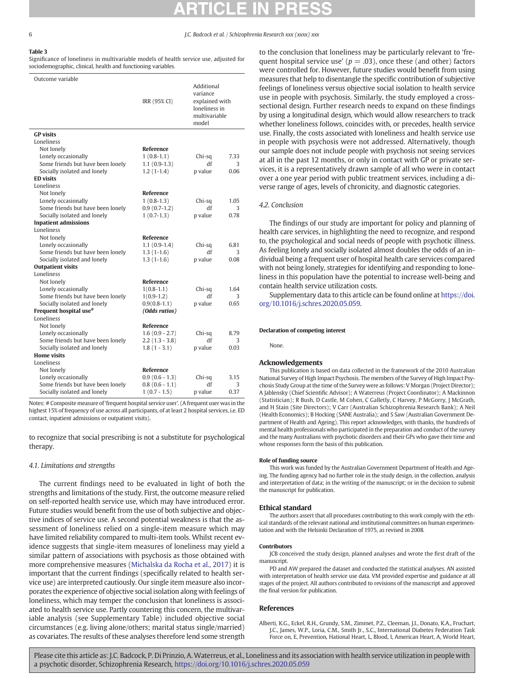# <span id="page-5-0"></span>Table 3

Significance of loneliness in multivariable models of health service use, adjusted for sociodemographic, clinical, health and functioning variables.

| Outcome variable                                 |                  |                                                                                     |      |
|--------------------------------------------------|------------------|-------------------------------------------------------------------------------------|------|
|                                                  | IRR (95% CI)     | Additional<br>variance<br>explained with<br>loneliness in<br>multivariable<br>model |      |
| <b>GP</b> visits                                 |                  |                                                                                     |      |
| Loneliness                                       |                  |                                                                                     |      |
| Not lonely                                       | Reference        |                                                                                     |      |
| Lonely occasionally                              | $1(0.8-1.1)$     | Chi-sq                                                                              | 7.33 |
| Some friends but have been lonely                | $1.1(0.9-1.3)$   | df                                                                                  | 3    |
| Socially isolated and lonely                     | $1.2(1-1.4)$     | p value                                                                             | 0.06 |
| <b>ED</b> visits                                 |                  |                                                                                     |      |
| Loneliness                                       |                  |                                                                                     |      |
| Not lonely                                       | <b>Reference</b> |                                                                                     |      |
| Lonely occasionally                              | $1(0.8-1.3)$     | Chi-sq                                                                              | 1.05 |
| Some friends but have been lonely                | $0.9(0.7-1.2)$   | df                                                                                  | 3    |
| Socially isolated and lonely                     | $1(0.7-1.3)$     | p value                                                                             | 0.78 |
| <b>Inpatient admissions</b>                      |                  |                                                                                     |      |
| Loneliness                                       |                  |                                                                                     |      |
| Not lonely                                       | Reference        |                                                                                     |      |
| Lonely occasionally                              | $1.1(0.9-1.4)$   | Chi-sq                                                                              | 6.81 |
| Some friends but have been lonely                | $1.3(1-1.6)$     | df                                                                                  | 3    |
| Socially isolated and lonely                     | $1.3(1-1.6)$     | p value                                                                             | 0.08 |
| <b>Outpatient visits</b>                         |                  |                                                                                     |      |
| Loneliness                                       |                  |                                                                                     |      |
| Not lonely                                       | Reference        |                                                                                     |      |
| Lonely occasionally                              | $1(0.8-1.1)$     | Chi-sq                                                                              | 1.64 |
| Some friends but have been lonely                | $1(0.9-1.2)$     | df                                                                                  | 3    |
| Socially isolated and lonely                     | $0.9(0.8-1.1)$   | p value                                                                             | 0.65 |
| Frequent hospital use <sup>#</sup><br>Loneliness | (Odds ratios)    |                                                                                     |      |
| Not lonely                                       | Reference        |                                                                                     |      |
| Lonely occasionally                              | $1.6(0.9 - 2.7)$ | Chi-sq                                                                              | 8.79 |
| Some friends but have been lonely                | $2.2(1.3 - 3.8)$ | df                                                                                  | 3    |
| Socially isolated and lonely                     | $1.8(1 - 3.1)$   | p value                                                                             | 0.03 |
| <b>Home visits</b>                               |                  |                                                                                     |      |
| Loneliness                                       |                  |                                                                                     |      |
| Not lonely                                       | <b>Reference</b> |                                                                                     |      |
| Lonely occasionally                              | $0.9(0.6 - 1.3)$ | Chi-sq                                                                              | 3.15 |
| Some friends but have been lonely                | $0.8(0.6 - 1.1)$ | df                                                                                  | 3    |
| Socially isolated and lonely                     | $1(0.7 - 1.5)$   | p value                                                                             | 0.37 |
|                                                  |                  |                                                                                     |      |

Notes: # Composite measure of 'frequent hospital service user'. (A frequent user was in the highest 15% of frequency of use across all participants, of at least 2 hospital services, i.e. ED contact, inpatient admissions or outpatient visits).

to recognize that social prescribing is not a substitute for psychological therapy.

# 4.1. Limitations and strengths

The current findings need to be evaluated in light of both the strengths and limitations of the study. First, the outcome measure relied on self-reported health service use, which may have introduced error. Future studies would benefit from the use of both subjective and objective indices of service use. A second potential weakness is that the assessment of loneliness relied on a single-item measure which may have limited reliability compared to multi-item tools. Whilst recent evidence suggests that single-item measures of loneliness may yield a similar pattern of associations with psychosis as those obtained with more comprehensive measures ([Michalska da Rocha et al., 2017\)](#page-6-0) it is important that the current findings (specifically related to health service use) are interpreted cautiously. Our single item measure also incorporates the experience of objective social isolation along with feelings of loneliness, which may temper the conclusion that loneliness is associated to health service use. Partly countering this concern, the multivariable analysis (see Supplementary Table) included objective social circumstances (e.g. living alone/others; marital status single/married) as covariates. The results of these analyses therefore lend some strength

to the conclusion that loneliness may be particularly relevant to 'frequent hospital service use' ( $p = .03$ ), once these (and other) factors were controlled for. However, future studies would benefit from using measures that help to disentangle the specific contribution of subjective feelings of loneliness versus objective social isolation to health service use in people with psychosis. Similarly, the study employed a crosssectional design. Further research needs to expand on these findings by using a longitudinal design, which would allow researchers to track whether loneliness follows, coincides with, or precedes, health service use. Finally, the costs associated with loneliness and health service use in people with psychosis were not addressed. Alternatively, though our sample does not include people with psychosis not seeing services at all in the past 12 months, or only in contact with GP or private services, it is a representatively drawn sample of all who were in contact over a one year period with public treatment services, including a diverse range of ages, levels of chronicity, and diagnostic categories.

# 4.2. Conclusion

The findings of our study are important for policy and planning of health care services, in highlighting the need to recognize, and respond to, the psychological and social needs of people with psychotic illness. As feeling lonely and socially isolated almost doubles the odds of an individual being a frequent user of hospital health care services compared with not being lonely, strategies for identifying and responding to loneliness in this population have the potential to increase well-being and contain health service utilization costs.

Supplementary data to this article can be found online at [https://doi.](https://doi.org/10.1016/j.schres.2020.05.059) [org/10.1016/j.schres.2020.05.059.](https://doi.org/10.1016/j.schres.2020.05.059)

### Declaration of competing interest

None.

### Acknowledgements

This publication is based on data collected in the framework of the 2010 Australian National Survey of High Impact Psychosis. The members of the Survey of High Impact Psychosis Study Group at the time of the Survey were as follows: V Morgan (Project Director); A Jablensky (Chief Scientific Advisor); A Waterreus (Project Coordinator); A Mackinnon (Statistician); R Bush, D Castle, M Cohen, C Galletly, C Harvey, P McGorry, J McGrath, and H Stain (Site Directors); V Carr (Australian Schizophrenia Research Bank); A Neil (Health Economics); B Hocking (SANE Australia); and S Saw (Australian Government Department of Health and Ageing). This report acknowledges, with thanks, the hundreds of mental health professionals who participated in the preparation and conduct of the survey and the many Australians with psychotic disorders and their GPs who gave their time and whose responses form the basis of this publication.

### Role of funding source

This work was funded by the Australian Government Department of Health and Ageing. The funding agency had no further role in the study design, in the collection, analysis and interpretation of data; in the writing of the manuscript; or in the decision to submit the manuscript for publication.

### Ethical standard

The authors assert that all procedures contributing to this work comply with the ethical standards of the relevant national and institutional committees on human experimentation and with the Helsinki Declaration of 1975, as revised in 2008.

### Contributors

JCB conceived the study design, planned analyses and wrote the first draft of the manuscript.

PD and AW prepared the dataset and conducted the statistical analyses. AN assisted with interpretation of health service use data. VM provided expertise and guidance at all stages of the project. All authors contributed to revisions of the manuscript and approved the final version for publication.

# References

Alberti, K.G., Eckel, R.H., Grundy, S.M., Zimmet, P.Z., Cleeman, J.I., Donato, K.A., Fruchart, J.C., James, W.P., Loria, C.M., Smith Jr., S.C., International Diabetes Federation Task Force on, E, Prevention, Hational Heart, L, Blood, I, American Heart, A, World Heart,